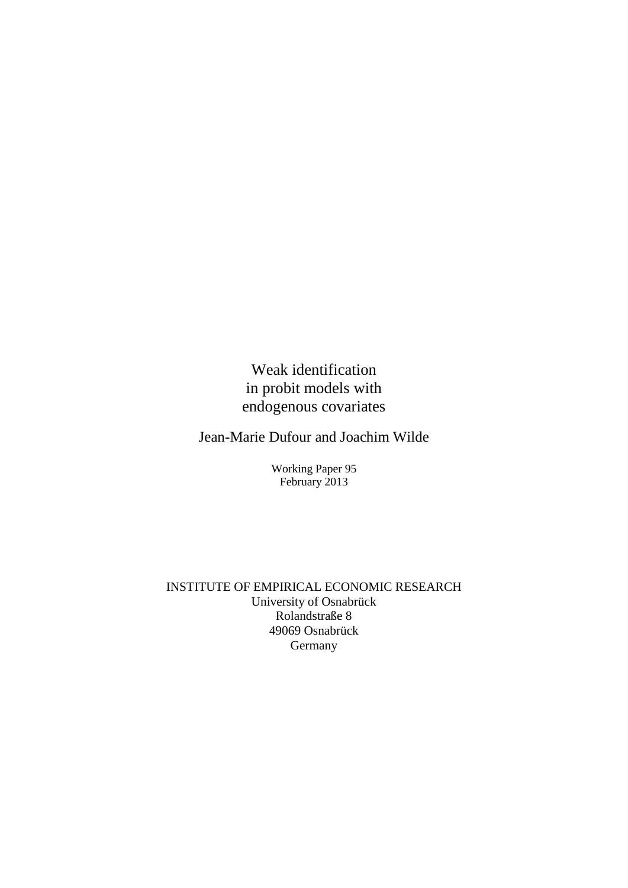Weak identification in probit models with endogenous covariates

Jean-Marie Dufour and Joachim Wilde

Working Paper 95 February 2013

INSTITUTE OF EMPIRICAL ECONOMIC RESEARCH University of Osnabrück Rolandstraße 8 49069 Osnabrück Germany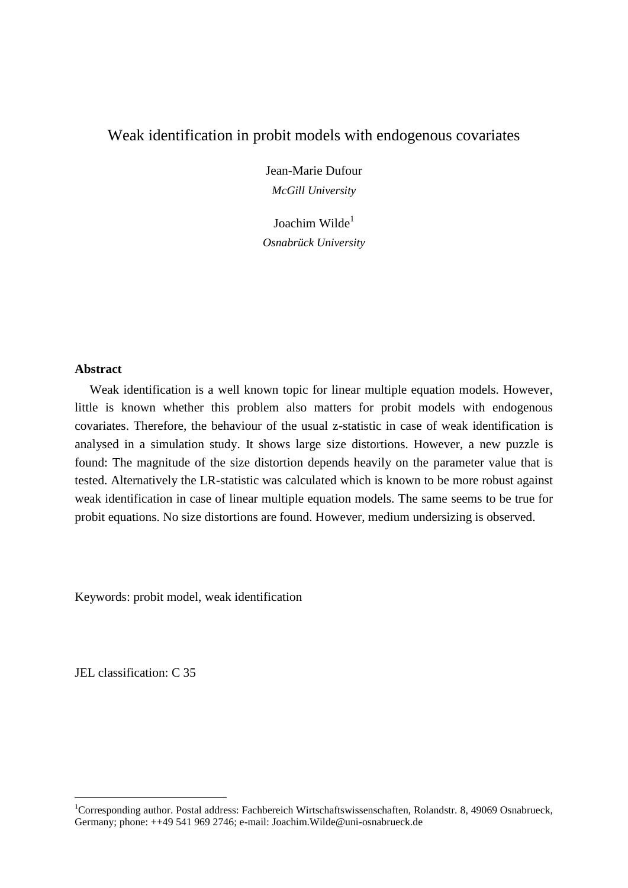# Weak identification in probit models with endogenous covariates

Jean-Marie Dufour *McGill University*

Joachim Wilde<sup>1</sup> *Osnabrück University*

# **Abstract**

Weak identification is a well known topic for linear multiple equation models. However, little is known whether this problem also matters for probit models with endogenous covariates. Therefore, the behaviour of the usual z-statistic in case of weak identification is analysed in a simulation study. It shows large size distortions. However, a new puzzle is found: The magnitude of the size distortion depends heavily on the parameter value that is tested. Alternatively the LR-statistic was calculated which is known to be more robust against weak identification in case of linear multiple equation models. The same seems to be true for probit equations. No size distortions are found. However, medium undersizing is observed.

Keywords: probit model, weak identification

JEL classification: C 35

 $\overline{a}$ 

<sup>&</sup>lt;sup>1</sup>Corresponding author. Postal address: Fachbereich Wirtschaftswissenschaften, Rolandstr. 8, 49069 Osnabrueck, Germany; phone: ++49 541 969 2746; e-mail: Joachim.Wilde@uni-osnabrueck.de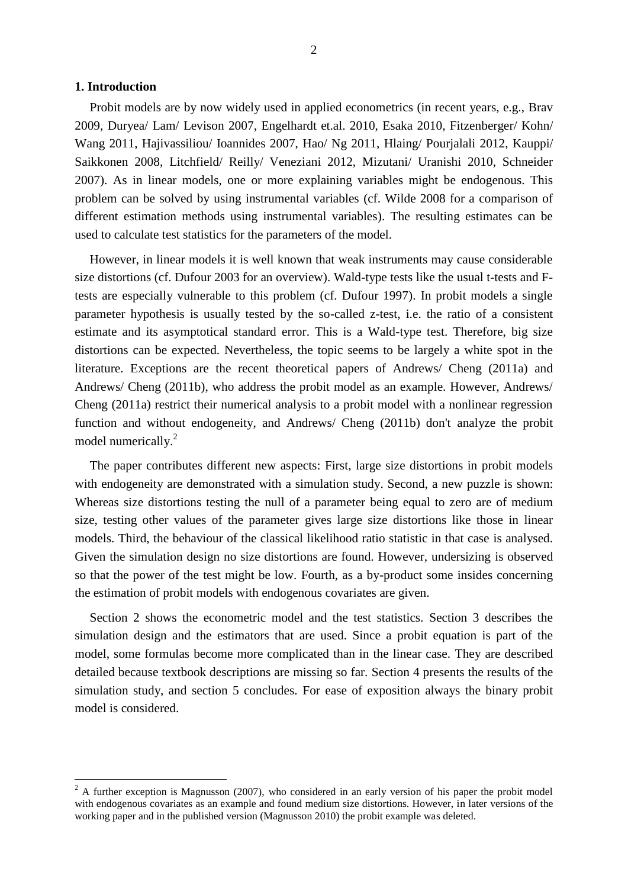# **1. Introduction**

 $\overline{a}$ 

Probit models are by now widely used in applied econometrics (in recent years, e.g., Brav 2009, Duryea/ Lam/ Levison 2007, Engelhardt et.al. 2010, Esaka 2010, Fitzenberger/ Kohn/ Wang 2011, Hajivassiliou/ Ioannides 2007, Hao/ Ng 2011, Hlaing/ Pourjalali 2012, Kauppi/ Saikkonen 2008, Litchfield/ Reilly/ Veneziani 2012, Mizutani/ Uranishi 2010, Schneider 2007). As in linear models, one or more explaining variables might be endogenous. This problem can be solved by using instrumental variables (cf. Wilde 2008 for a comparison of different estimation methods using instrumental variables). The resulting estimates can be used to calculate test statistics for the parameters of the model.

However, in linear models it is well known that weak instruments may cause considerable size distortions (cf. Dufour 2003 for an overview). Wald-type tests like the usual t-tests and Ftests are especially vulnerable to this problem (cf. Dufour 1997). In probit models a single parameter hypothesis is usually tested by the so-called z-test, i.e. the ratio of a consistent estimate and its asymptotical standard error. This is a Wald-type test. Therefore, big size distortions can be expected. Nevertheless, the topic seems to be largely a white spot in the literature. Exceptions are the recent theoretical papers of Andrews/ Cheng (2011a) and Andrews/ Cheng (2011b), who address the probit model as an example. However, Andrews/ Cheng (2011a) restrict their numerical analysis to a probit model with a nonlinear regression function and without endogeneity, and Andrews/ Cheng (2011b) don't analyze the probit model numerically.<sup>2</sup>

The paper contributes different new aspects: First, large size distortions in probit models with endogeneity are demonstrated with a simulation study. Second, a new puzzle is shown: Whereas size distortions testing the null of a parameter being equal to zero are of medium size, testing other values of the parameter gives large size distortions like those in linear models. Third, the behaviour of the classical likelihood ratio statistic in that case is analysed. Given the simulation design no size distortions are found. However, undersizing is observed so that the power of the test might be low. Fourth, as a by-product some insides concerning the estimation of probit models with endogenous covariates are given.

Section 2 shows the econometric model and the test statistics. Section 3 describes the simulation design and the estimators that are used. Since a probit equation is part of the model, some formulas become more complicated than in the linear case. They are described detailed because textbook descriptions are missing so far. Section 4 presents the results of the simulation study, and section 5 concludes. For ease of exposition always the binary probit model is considered.

 $2 A$  further exception is Magnusson (2007), who considered in an early version of his paper the probit model with endogenous covariates as an example and found medium size distortions. However, in later versions of the working paper and in the published version (Magnusson 2010) the probit example was deleted.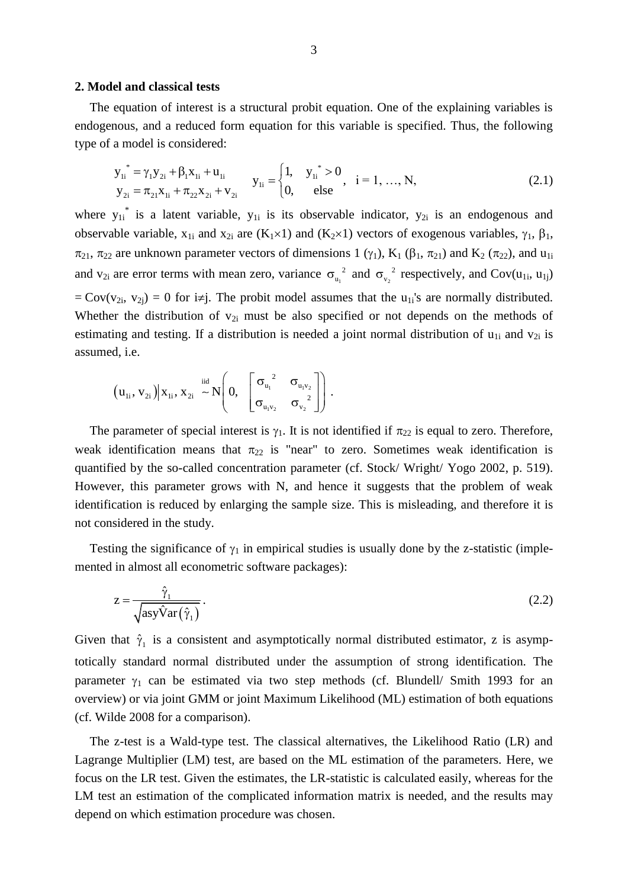#### **2. Model and classical tests**

The equation of interest is a structural probit equation. One of the explaining variables is endogenous, and a reduced form equation for this variable is specified. Thus, the following type of a model is considered:

$$
y_{1i}^* = \gamma_1 y_{2i} + \beta_1 x_{1i} + u_{1i}
$$
  
\n
$$
y_{1i} =\begin{cases} 1, & y_{1i}^* > 0 \\ 0, & \text{else} \end{cases}, \quad i = 1, ..., N,
$$
  
\n(2.1)

where  $y_{1i}^*$  is a latent variable,  $y_{1i}$  is its observable indicator,  $y_{2i}$  is an endogenous and observable variable,  $x_{1i}$  and  $x_{2i}$  are  $(K_1 \times 1)$  and  $(K_2 \times 1)$  vectors of exogenous variables,  $\gamma_1$ ,  $\beta_1$ ,  $\pi_{21}$ ,  $\pi_{22}$  are unknown parameter vectors of dimensions 1 ( $\gamma_1$ ), K<sub>1</sub> ( $\beta_1$ ,  $\pi_{21}$ ) and K<sub>2</sub> ( $\pi_{22}$ ), and u<sub>1i</sub> and  $v_{2i}$  are error terms with mean zero, variance  $\sigma_{u_1}^2$  and  $\sigma_{v_2}^2$  respectively, and Cov(u<sub>1i</sub>, u<sub>1j</sub>)  $=$  Cov(v<sub>2i</sub>, v<sub>2i</sub>) = 0 for i≠j. The probit model assumes that the u<sub>1i</sub>'s are normally distributed. Whether the distribution of  $v_{2i}$  must be also specified or not depends on the methods of estimating and testing. If a distribution is needed a joint normal distribution of  $u_{1i}$  and  $v_{2i}$  is assumed, i.e.

$$
(u_{1i}, v_{2i})|x_{1i}, x_{2i} \sim N\left(0, \begin{bmatrix} \sigma_{u_1}^{2} & \sigma_{u_1v_2} \\ \sigma_{u_1v_2} & \sigma_{v_2}^{2} \end{bmatrix}\right).
$$

The parameter of special interest is  $\gamma_1$ . It is not identified if  $\pi_{22}$  is equal to zero. Therefore, weak identification means that  $\pi_{22}$  is "near" to zero. Sometimes weak identification is quantified by the so-called concentration parameter (cf. Stock/ Wright/ Yogo 2002, p. 519). However, this parameter grows with N, and hence it suggests that the problem of weak identification is reduced by enlarging the sample size. This is misleading, and therefore it is not considered in the study.

Testing the significance of  $\gamma_1$  in empirical studies is usually done by the z-statistic (implemented in almost all econometric software packages):

$$
z = \frac{\hat{\gamma}_1}{\sqrt{\operatorname{asyVar}(\hat{\gamma}_1)}}.
$$
\n(2.2)

Given that  $\hat{\gamma}_1$  is a consistent and asymptotically normal distributed estimator, z is asymptotically standard normal distributed under the assumption of strong identification. The parameter  $\gamma_1$  can be estimated via two step methods (cf. Blundell/ Smith 1993 for an overview) or via joint GMM or joint Maximum Likelihood (ML) estimation of both equations (cf. Wilde 2008 for a comparison).

The z-test is a Wald-type test. The classical alternatives, the Likelihood Ratio (LR) and Lagrange Multiplier (LM) test, are based on the ML estimation of the parameters. Here, we focus on the LR test. Given the estimates, the LR-statistic is calculated easily, whereas for the LM test an estimation of the complicated information matrix is needed, and the results may depend on which estimation procedure was chosen.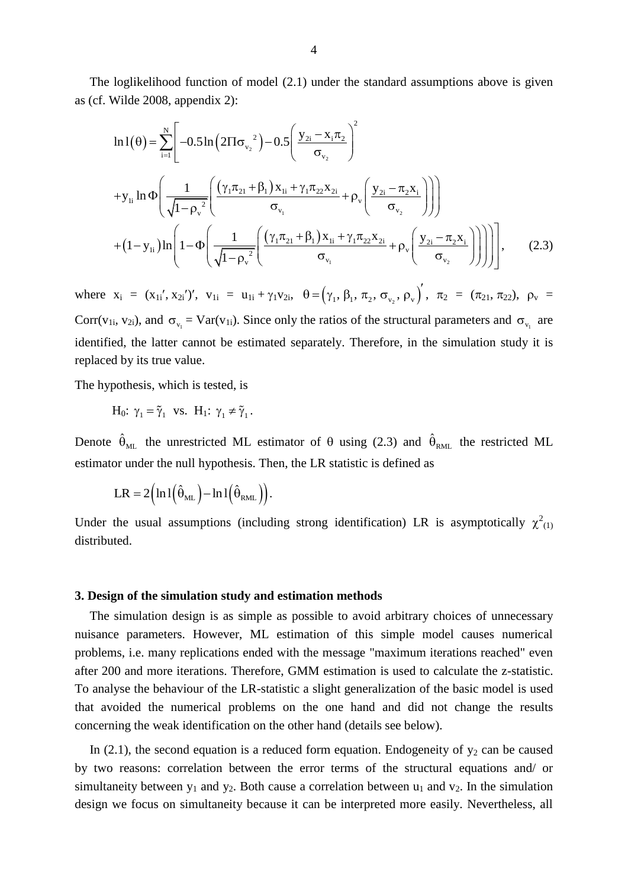The loglikelihood function of model (2.1) under the standard assumptions above is given as (cf. Wilde 2008, appendix 2):

$$
\ln 1(\theta) = \sum_{i=1}^{N} \left[ -0.5 \ln \left( 2 \Pi \sigma_{v_2}^2 \right) - 0.5 \left( \frac{y_{2i} - x_i \pi_2}{\sigma_{v_2}} \right)^2 + y_{1i} \ln \Phi \left( \frac{1}{\sqrt{1 - \rho_v^2}} \left( \frac{(\gamma_1 \pi_{21} + \beta_1) x_{1i} + \gamma_1 \pi_{22} x_{2i}}{\sigma_{v_1}} + \rho_v \left( \frac{y_{2i} - \pi_2 x_i}{\sigma_{v_2}} \right) \right) \right) + (1 - y_{1i}) \ln \left( 1 - \Phi \left( \frac{1}{\sqrt{1 - \rho_v^2}} \left( \frac{(\gamma_1 \pi_{21} + \beta_1) x_{1i} + \gamma_1 \pi_{22} x_{2i}}{\sigma_{v_1}} + \rho_v \left( \frac{y_{2i} - \pi_2 x_i}{\sigma_{v_2}} \right) \right) \right) \right), \quad (2.3)
$$

where  $x_i = (x_{1i}, x_{2i})'$ ,  $v_{1i} = u_{1i} + \gamma_1 v_{2i}$ ,  $\theta = (\gamma_1, \beta_1, \pi_2, \sigma_{v_2}, \rho_{v})'$ ,  $\pi_2 = (\pi_{21}, \pi_{22})$ ,  $\rho_v =$ Corr(v<sub>1i</sub>, v<sub>2i</sub>), and  $\sigma_{v_1} = \text{Var}(v_{1i})$ . Since only the ratios of the structural parameters and  $\sigma_{v_1}$  are identified, the latter cannot be estimated separately. Therefore, in the simulation study it is replaced by its true value.

The hypothesis, which is tested, is

 $H_0$ :  $\gamma_1 = \tilde{\gamma}_1$  vs.  $H_1$ :  $\gamma_1 \neq \tilde{\gamma}_1$ .

Denote  $\hat{\theta}_{ML}$  the unrestricted ML estimator of  $\theta$  using (2.3) and  $\hat{\theta}_{RML}$  the restricted ML estimator under the null hypothesis. Then, the LR statistic is defined as

$$
LR = 2\Big(\ln l\Big(\hat{\theta}_{ML}\Big) - \ln l\Big(\hat{\theta}_{RML}\Big)\Big).
$$

Under the usual assumptions (including strong identification) LR is asymptotically  $\chi^2_{(1)}$ distributed.

#### **3. Design of the simulation study and estimation methods**

The simulation design is as simple as possible to avoid arbitrary choices of unnecessary nuisance parameters. However, ML estimation of this simple model causes numerical problems, i.e. many replications ended with the message "maximum iterations reached" even after 200 and more iterations. Therefore, GMM estimation is used to calculate the z-statistic. To analyse the behaviour of the LR-statistic a slight generalization of the basic model is used that avoided the numerical problems on the one hand and did not change the results concerning the weak identification on the other hand (details see below).

In (2.1), the second equation is a reduced form equation. Endogeneity of  $y_2$  can be caused by two reasons: correlation between the error terms of the structural equations and/ or simultaneity between  $y_1$  and  $y_2$ . Both cause a correlation between  $u_1$  and  $v_2$ . In the simulation design we focus on simultaneity because it can be interpreted more easily. Nevertheless, all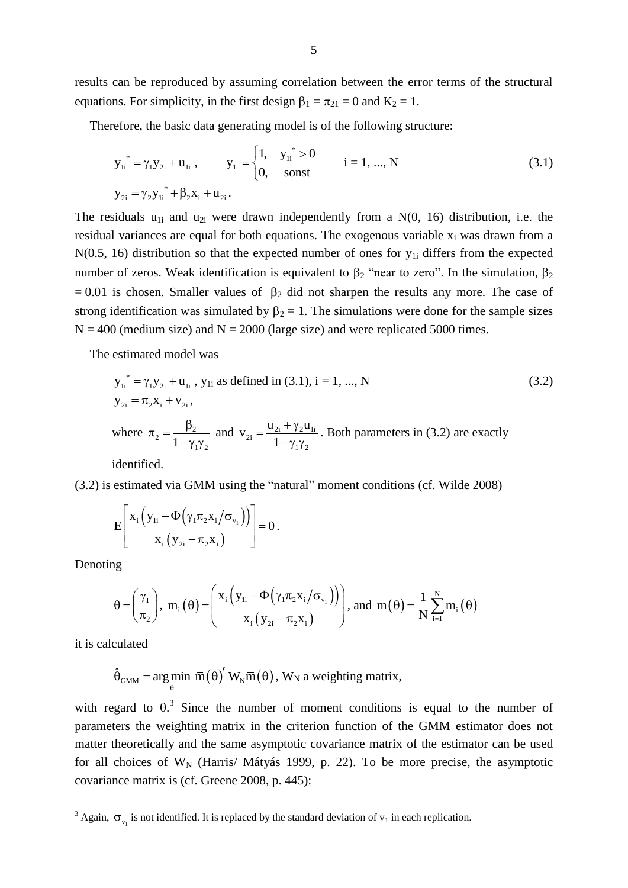results can be reproduced by assuming correlation between the error terms of the structural equations. For simplicity, in the first design  $\beta_1 = \pi_{21} = 0$  and  $K_2 = 1$ .

Therefore, the basic data generating model is of the following structure:

$$
y_{1i}^* = \gamma_1 y_{2i} + u_{1i} , \qquad y_{1i} = \begin{cases} 1, & y_{1i}^* > 0 \\ 0, & \text{sonst} \end{cases} \qquad i = 1, ..., N
$$
 (3.1)  

$$
y_{2i} = \gamma_2 y_{1i}^* + \beta_2 x_i + u_{2i}.
$$

The residuals  $u_{1i}$  and  $u_{2i}$  were drawn independently from a N(0, 16) distribution, i.e. the residual variances are equal for both equations. The exogenous variable  $x_i$  was drawn from a  $N(0.5, 16)$  distribution so that the expected number of ones for  $y_{1i}$  differs from the expected number of zeros. Weak identification is equivalent to  $\beta_2$  "near to zero". In the simulation,  $\beta_2$ = 0.01 is chosen. Smaller values of  $\beta_2$  did not sharpen the results any more. The case of strong identification was simulated by  $\beta_2 = 1$ . The simulations were done for the sample sizes  $N = 400$  (medium size) and  $N = 2000$  (large size) and were replicated 5000 times.

The estimated model was

$$
y_{1i}^* = \gamma_1 y_{2i} + u_{1i}, y_{1i} \text{ as defined in (3.1), } i = 1, ..., N
$$
  
\n
$$
y_{2i} = \pi_2 x_i + v_{2i},
$$
  
\nwhere  $\pi_2 = \frac{\beta_2}{1 - \gamma_1 \gamma_2}$  and  $v_{2i} = \frac{u_{2i} + \gamma_2 u_{1i}}{1 - \gamma_1 \gamma_2}$ . Both parameters in (3.2) are exactly

identified.

(3.2) is estimated via GMM using the "natural" moment conditions (cf. Wilde 2008)

$$
E\left[\begin{array}{c} x_i \left( y_{1i} - \Phi\left(\gamma_1 \pi_2 x_i / \sigma_{v_1}\right) \right) \\ x_i \left( y_{2i} - \pi_2 x_i \right) \end{array}\right] = 0.
$$

Denoting

$$
\theta = \begin{pmatrix} \gamma_1 \\ \pi_2 \end{pmatrix}, \ m_i(\theta) = \begin{pmatrix} x_i \left( y_{1i} - \Phi \left( \gamma_1 \pi_2 x_i / \sigma_{v_1} \right) \right) \\ x_i \left( y_{2i} - \pi_2 x_i \right) \end{pmatrix}, \text{ and } \overline{m}(\theta) = \frac{1}{N} \sum_{i=1}^N m_i(\theta)
$$

it is calculated

 $\overline{a}$ 

$$
\hat{\theta}_{\text{GMM}} = \underset{\theta}{\arg\min} \ \overline{m}(\theta)' \ W_N \overline{m}(\theta), \ W_N \text{ a weighting matrix},
$$

with regard to  $\theta$ <sup>3</sup>. Since the number of moment conditions is equal to the number of parameters the weighting matrix in the criterion function of the GMM estimator does not matter theoretically and the same asymptotic covariance matrix of the estimator can be used for all choices of  $W_N$  (Harris/ Mátyás 1999, p. 22). To be more precise, the asymptotic covariance matrix is (cf. Greene 2008, p. 445):

<sup>&</sup>lt;sup>3</sup> Again,  $\sigma_{v_1}$  is not identified. It is replaced by the standard deviation of  $v_1$  in each replication.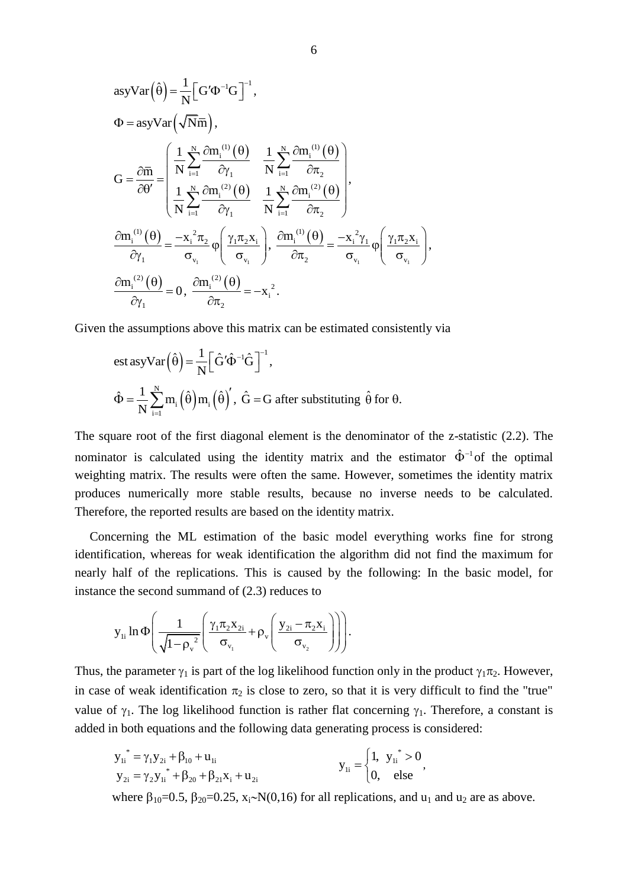$$
asyVar(\hat{\theta}) = \frac{1}{N} \Big[ G'\Phi^{-1}G \Big]^{-1},
$$
  
\n
$$
\Phi = asyVar(\sqrt{Nm}),
$$
  
\n
$$
G = \frac{\partial \overline{n}}{\partial \theta'} = \begin{pmatrix} \frac{1}{N} \sum_{i=1}^{N} \frac{\partial m_i^{(1)}(\theta)}{\partial \gamma_1} & \frac{1}{N} \sum_{i=1}^{N} \frac{\partial m_i^{(1)}(\theta)}{\partial \tau_2} \\ \frac{1}{N} \sum_{i=1}^{N} \frac{\partial m_i^{(2)}(\theta)}{\partial \gamma_1} & \frac{1}{N} \sum_{i=1}^{N} \frac{\partial m_i^{(2)}(\theta)}{\partial \tau_2} \end{pmatrix},
$$
  
\n
$$
\frac{\partial m_i^{(1)}(\theta)}{\partial \gamma_1} = \frac{-x_i^2 \pi_2}{\sigma_{v_i}} \varphi \Big( \frac{\gamma_1 \pi_2 x_i}{\sigma_{v_i}} \Big), \frac{\partial m_i^{(1)}(\theta)}{\partial \tau_2} = \frac{-x_i^2 \gamma_1}{\sigma_{v_i}} \varphi \Big( \frac{\gamma_1 \pi_2 x_i}{\sigma_{v_i}} \Big),
$$
  
\n
$$
\frac{\partial m_i^{(2)}(\theta)}{\partial \gamma_1} = 0, \frac{\partial m_i^{(2)}(\theta)}{\partial \tau_2} = -x_i^2.
$$

Given the assumptions above this matrix can be estimated consistently via

est asyVar
$$
(\hat{\theta}) = \frac{1}{N} \left[ \hat{G}' \hat{\Phi}^{-1} \hat{G} \right]^{-1}
$$
,  
 $\hat{\Phi} = \frac{1}{N} \sum_{i=1}^{N} m_i (\hat{\theta}) m_i (\hat{\theta})'$ ,  $\hat{G} = G$  after substituting  $\hat{\theta}$  for  $\theta$ .

The square root of the first diagonal element is the denominator of the z-statistic (2.2). The nominator is calculated using the identity matrix and the estimator  $\hat{\Phi}^{-1}$  of the optimal weighting matrix. The results were often the same. However, sometimes the identity matrix produces numerically more stable results, because no inverse needs to be calculated. Therefore, the reported results are based on the identity matrix.

Concerning the ML estimation of the basic model everything works fine for strong identification, whereas for weak identification the algorithm did not find the maximum for nearly half of the replications. This is caused by the following: In the basic model, for instance the second summand of (2.3) reduces to

The second summand of (2.3) reduces to  

$$
y_{1i} \ln \Phi \left( \frac{1}{\sqrt{1 - {\rho_v}^2}} \left( \frac{\gamma_1 \pi_2 x_{2i}}{\sigma_{v_1}} + \rho_v \left( \frac{y_{2i} - \pi_2 x_i}{\sigma_{v_2}} \right) \right) \right).
$$

Thus, the parameter  $\gamma_1$  is part of the log likelihood function only in the product  $\gamma_1 \pi_2$ . However, in case of weak identification  $\pi_2$  is close to zero, so that it is very difficult to find the "true" value of  $\gamma_1$ . The log likelihood function is rather flat concerning  $\gamma_1$ . Therefore, a constant is added in both equations and the following data generating process is considered:

$$
y_{1i}^* = \gamma_1 y_{2i} + \beta_{10} + u_{1i}
$$
  
\n
$$
y_{2i} = \gamma_2 y_{1i}^* + \beta_{20} + \beta_{21} x_{i} + u_{2i}
$$
  
\n
$$
y_{1i} = \begin{cases} 1, & y_{1i}^* > 0 \\ 0, & else \end{cases}
$$

where  $\beta_{10}=0.5$ ,  $\beta_{20}=0.25$ ,  $x_i \sim N(0,16)$  for all replications, and  $u_1$  and  $u_2$  are as above.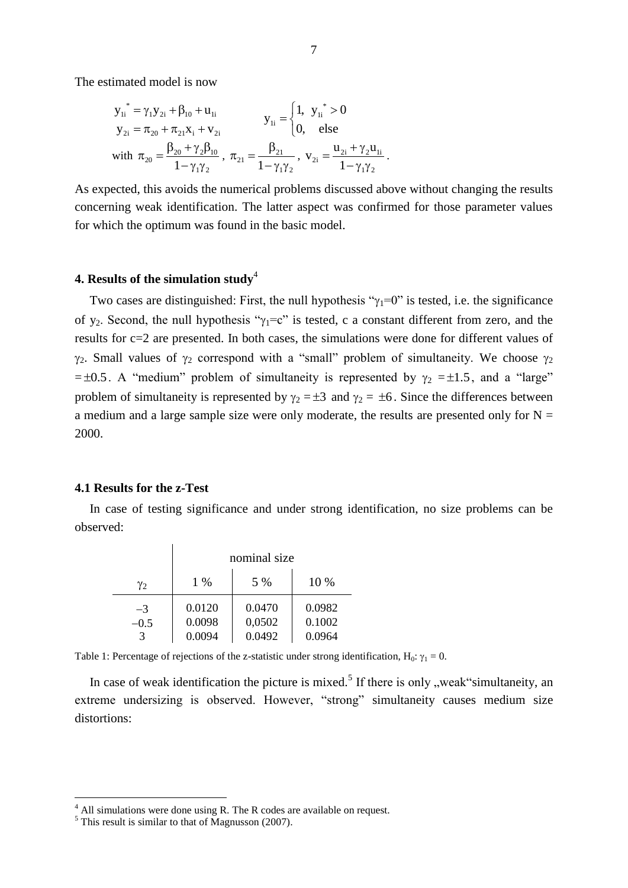The estimated model is now

$$
\begin{aligned} {\mathbf{y}_{1i}}^* &= \gamma_1 {\mathbf{y}_{2i}} + \beta_{10} + {\mathbf{u}_{1i}} \\ {\mathbf{y}_{2i}} &= \pi_{20} + \pi_{21} {\mathbf{x}_{i}} + {\mathbf{v}_{2i}} \\ \text{with} \ \pi_{20} &= \frac{\beta_{20} + \gamma_2 \beta_{10}}{1 - \gamma_1 \gamma_2} \, , \ \pi_{21} &= \frac{\beta_{21}}{1 - \gamma_1 \gamma_2} \, , \ \mathbf{v}_{2i} &= \frac{{\mathbf{u}_{2i}} + \gamma_2 {\mathbf{u}_{1i}}}{1 - \gamma_1 \gamma_2} \end{aligned}
$$

As expected, this avoids the numerical problems discussed above without changing the results concerning weak identification. The latter aspect was confirmed for those parameter values for which the optimum was found in the basic model.

.

# **4. Results of the simulation study**<sup>4</sup>

Two cases are distinguished: First, the null hypothesis " $\gamma_1=0$ " is tested, i.e. the significance of y<sub>2</sub>. Second, the null hypothesis " $\gamma_1 = c$ " is tested, c a constant different from zero, and the results for c=2 are presented. In both cases, the simulations were done for different values of  $\gamma_2$ . Small values of  $\gamma_2$  correspond with a "small" problem of simultaneity. We choose  $\gamma_2$  $= \pm 0.5$ . A "medium" problem of simultaneity is represented by  $\gamma_2 = \pm 1.5$ , and a "large" problem of simultaneity is represented by  $\gamma_2 = \pm 3$  and  $\gamma_2 = \pm 6$ . Since the differences between a medium and a large sample size were only moderate, the results are presented only for  $N =$ 2000.

#### **4.1 Results for the z-Test**

In case of testing significance and under strong identification, no size problems can be observed:

|        | nominal size |        |        |
|--------|--------------|--------|--------|
| Y2     | 1 %          | 5 %    | 10 %   |
| $-3$   | 0.0120       | 0.0470 | 0.0982 |
| $-0.5$ | 0.0098       | 0,0502 | 0.1002 |
|        | 0.0094       | 0.0492 | 0.0964 |

Table 1: Percentage of rejections of the z-statistic under strong identification,  $H_0$ :  $\gamma_1 = 0$ .

In case of weak identification the picture is mixed.<sup>5</sup> If there is only  $\alpha$ , weak "simultaneity, an extreme undersizing is observed. However, "strong" simultaneity causes medium size distortions:

 $\overline{a}$ 

 $4$  All simulations were done using R. The R codes are available on request.

 $<sup>5</sup>$  This result is similar to that of Magnusson (2007).</sup>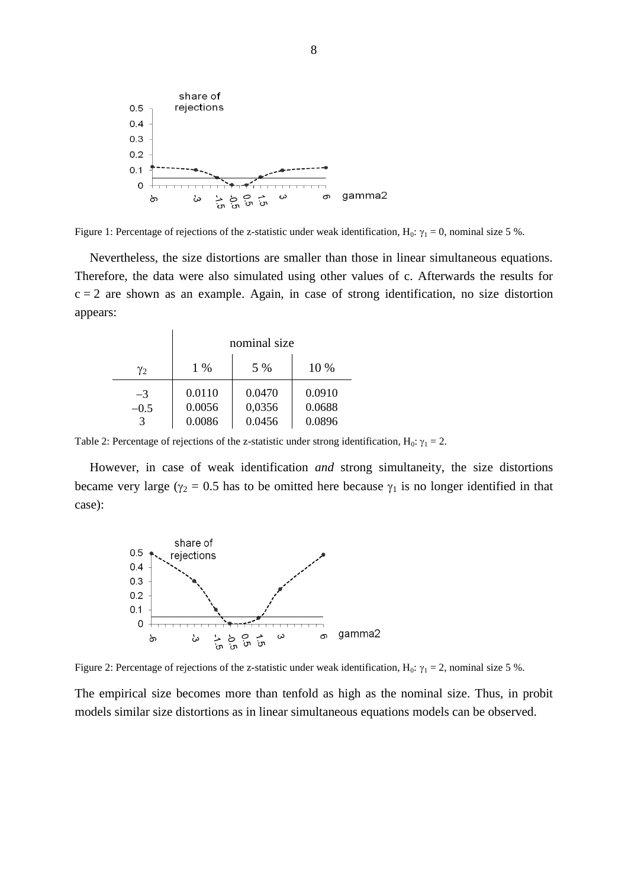

Figure 1: Percentage of rejections of the z-statistic under weak identification,  $H_0$ :  $\gamma_1 = 0$ , nominal size 5 %.

Nevertheless, the size distortions are smaller than those in linear simultaneous equations. Therefore, the data were also simulated using other values of c. Afterwards the results for  $c = 2$  are shown as an example. Again, in case of strong identification, no size distortion appears:

|        | nominal size |        |        |
|--------|--------------|--------|--------|
| Y2     | $1\%$        | 5 %    | 10 %   |
| $-3$   | 0.0110       | 0.0470 | 0.0910 |
| $-0.5$ | 0.0056       | 0,0356 | 0.0688 |
|        | 0.0086       | 0.0456 | 0.0896 |

Table 2: Percentage of rejections of the z-statistic under strong identification,  $H_0$ :  $\gamma_1 = 2$ .

However, in case of weak identification *and* strong simultaneity, the size distortions became very large ( $\gamma_2 = 0.5$  has to be omitted here because  $\gamma_1$  is no longer identified in that case):



Figure 2: Percentage of rejections of the z-statistic under weak identification, H<sub>0</sub>:  $\gamma_1 = 2$ , nominal size 5 %.

The empirical size becomes more than tenfold as high as the nominal size. Thus, in probit models similar size distortions as in linear simultaneous equations models can be observed.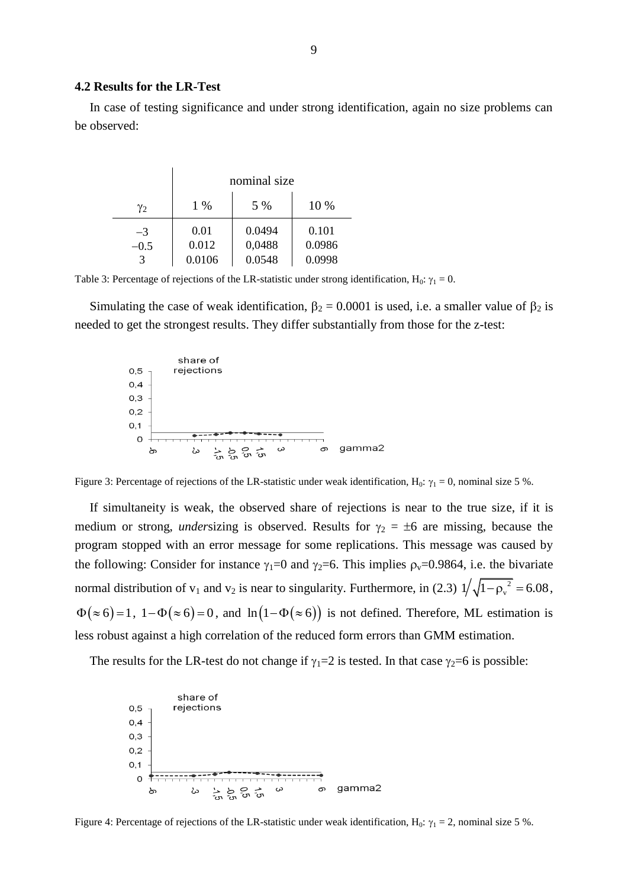#### **4.2 Results for the LR-Test**

In case of testing significance and under strong identification, again no size problems can be observed:

|        | nominal size |        |        |
|--------|--------------|--------|--------|
| Y2     | $1\%$        | 5 %    | 10 %   |
| -3     | 0.01         | 0.0494 | 0.101  |
| $-0.5$ | 0.012        | 0,0488 | 0.0986 |
|        | 0.0106       | 0.0548 | 0.0998 |

Table 3: Percentage of rejections of the LR-statistic under strong identification, H<sub>0</sub>:  $\gamma_1 = 0$ .

Simulating the case of weak identification,  $\beta_2 = 0.0001$  is used, i.e. a smaller value of  $\beta_2$  is needed to get the strongest results. They differ substantially from those for the z-test:



Figure 3: Percentage of rejections of the LR-statistic under weak identification, H<sub>0</sub>:  $\gamma_1 = 0$ , nominal size 5 %.

If simultaneity is weak, the observed share of rejections is near to the true size, if it is medium or strong, *undersizing* is observed. Results for  $\gamma_2 = \pm 6$  are missing, because the program stopped with an error message for some replications. This message was caused by the following: Consider for instance  $\gamma_1=0$  and  $\gamma_2=6$ . This implies  $\rho_v=0.9864$ , i.e. the bivariate normal distribution of  $v_1$  and  $v_2$  is near to singularity. Furthermore, in (2.3)  $1/\sqrt{1-\rho_v^2}$  $1/\sqrt{1-\rho_v^2} = 6.08$ ,  $\Phi(\approx 6) = 1$ ,  $1 - \Phi(\approx 6) = 0$ , and  $\ln(1 - \Phi(\approx 6))$  is not defined. Therefore, ML estimation is less robust against a high correlation of the reduced form errors than GMM estimation.

The results for the LR-test do not change if  $\gamma_1=2$  is tested. In that case  $\gamma_2=6$  is possible:



Figure 4: Percentage of rejections of the LR-statistic under weak identification,  $H_0$ :  $\gamma_1 = 2$ , nominal size 5 %.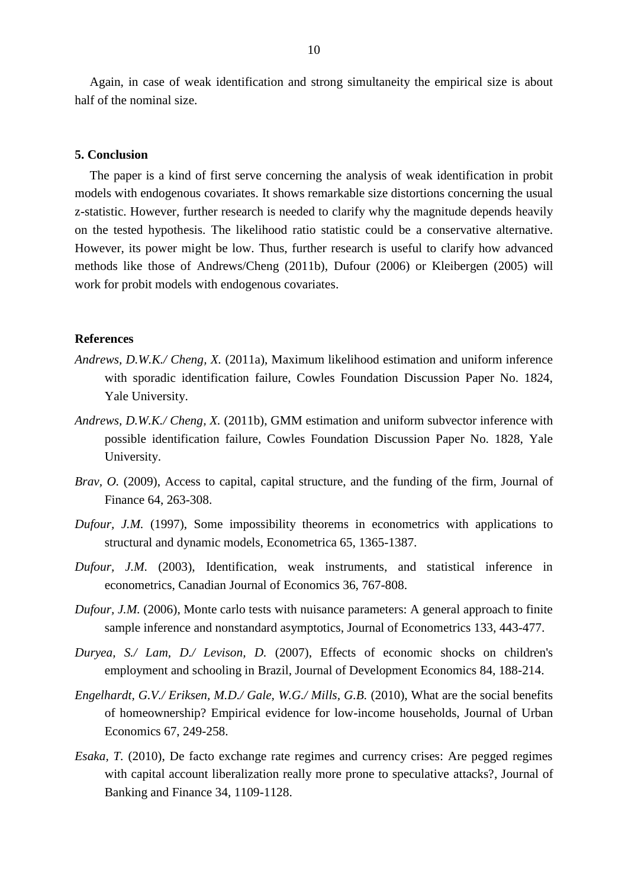Again, in case of weak identification and strong simultaneity the empirical size is about half of the nominal size.

### **5. Conclusion**

The paper is a kind of first serve concerning the analysis of weak identification in probit models with endogenous covariates. It shows remarkable size distortions concerning the usual z-statistic. However, further research is needed to clarify why the magnitude depends heavily on the tested hypothesis. The likelihood ratio statistic could be a conservative alternative. However, its power might be low. Thus, further research is useful to clarify how advanced methods like those of Andrews/Cheng (2011b), Dufour (2006) or Kleibergen (2005) will work for probit models with endogenous covariates.

# **References**

- *Andrews, D.W.K./ Cheng, X.* (2011a), Maximum likelihood estimation and uniform inference with sporadic identification failure, Cowles Foundation Discussion Paper No. 1824, Yale University.
- *Andrews, D.W.K./ Cheng, X.* (2011b), GMM estimation and uniform subvector inference with possible identification failure, Cowles Foundation Discussion Paper No. 1828, Yale University.
- *Brav, O.* (2009), Access to capital, capital structure, and the funding of the firm, Journal of Finance 64, 263-308.
- *Dufour, J.M.* (1997), Some impossibility theorems in econometrics with applications to structural and dynamic models, Econometrica 65, 1365-1387.
- *Dufour, J.M.* (2003), Identification, weak instruments, and statistical inference in econometrics, Canadian Journal of Economics 36, 767-808.
- *Dufour, J.M.* (2006). Monte carlo tests with nuisance parameters: A general approach to finite sample inference and nonstandard asymptotics, Journal of Econometrics 133, 443-477.
- *Duryea, S./ Lam, D./ Levison, D.* (2007), Effects of economic shocks on children's employment and schooling in Brazil, Journal of Development Economics 84, 188-214.
- *Engelhardt, G.V./ Eriksen, M.D./ Gale, W.G./ Mills, G.B.* (2010), What are the social benefits of homeownership? Empirical evidence for low-income households, Journal of Urban Economics 67, 249-258.
- *Esaka, T.* (2010), De facto exchange rate regimes and currency crises: Are pegged regimes with capital account liberalization really more prone to speculative attacks?, Journal of Banking and Finance 34, 1109-1128.